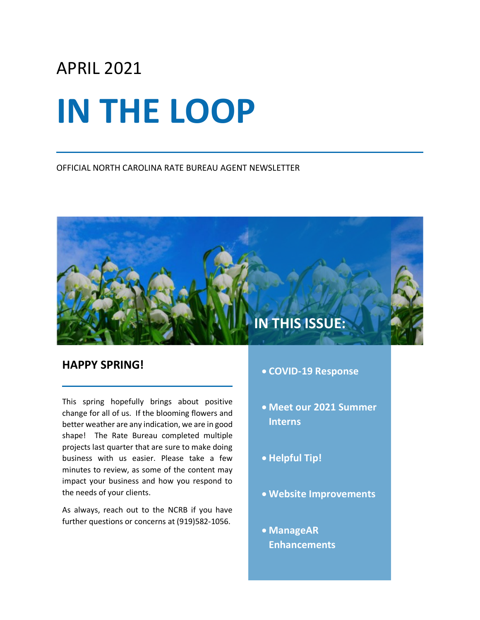# APRIL 2021

# **IN THE LOOP**

OFFICIAL NORTH CAROLINA RATE BUREAU AGENT NEWSLETTER

## **IN THIS ISSUE:**

## **HAPPY SPRING!**

This spring hopefully brings about positive change for all of us. If the blooming flowers and better weather are any indication, we are in good shape! The Rate Bureau completed multiple projects last quarter that are sure to make doing business with us easier. Please take a few minutes to review, as some of the content may impact your business and how you respond to the needs of your clients.

As always, reach out to the NCRB if you have further questions or concerns at (919)582-1056.

- **COVID-19 Response**
- **Meet our 2021 Summer Interns**
- **Helpful Tip!**
- **Website Improvements**
- **ManageAR Enhancements**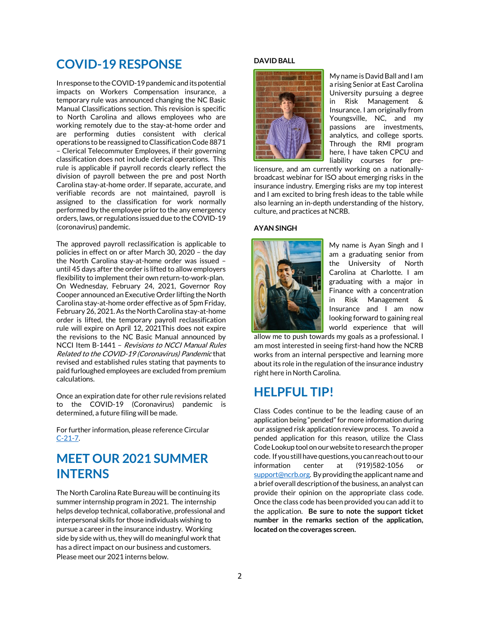## **COVID-19 RESPONSE**

In response to the COVID-19 pandemic and its potential impacts on Workers Compensation insurance, a temporary rule was announced changing the NC Basic Manual Classifications section. This revision is specific to North Carolina and allows employees who are working remotely due to the stay-at-home order and are performing duties consistent with clerical operations to be reassigned to Classification Code 8871 – Clerical Telecommuter Employees, if their governing classification does not include clerical operations. This rule is applicable if payroll records clearly reflect the division of payroll between the pre and post North Carolina stay-at-home order. If separate, accurate, and verifiable records are not maintained, payroll is assigned to the classification for work normally performed by the employee prior to the any emergency orders, laws, or regulations issued due to the COVID-19 (coronavirus) pandemic.

The approved payroll reclassification is applicable to policies in effect on or after March 30, 2020 – the day the North Carolina stay-at-home order was issued – until 45 days after the order is lifted to allow employers flexibility to implement their own return-to-work-plan. On Wednesday, February 24, 2021, Governor Roy Cooper announced an Executive Order lifting the North Carolina stay-at-home order effective as of 5pm Friday, February 26, 2021. As the North Carolina stay-at-home order is lifted, the temporary payroll reclassification rule will expire on April 12, 2021This does not expire the revisions to the NC Basic Manual announced by NCCI Item B-1441 – Revisions to NCCI Manual Rules Related to the COVID-19 (Coronavirus) Pandemic that revised and established rules stating that payments to paid furloughed employees are excluded from premium calculations.

Once an expiration date for other rule revisions related to the COVID-19 (Coronavirus) pandemic is determined, a future filing will be made.

For further information, please reference Circular [C-21-7.](http://www.ncrb.org/Portals/0/ncrb/circular%20letters/workers%20comp/2021/C-21-7%20Revision%20to%20North%20Carolina%20Basic%20Manual%20Rules%20Related%20to%20the%20COVID-19%20Pandemic.pdf?ver=2021-03-04-140908-560)

## **MEET OUR 2021 SUMMER INTERNS**

The North Carolina Rate Bureau will be continuing its summer internship program in 2021. The internship helps develop technical, collaborative, professional and interpersonal skills for those individuals wishing to pursue a career in the insurance industry. Working side by side with us, they will do meaningful work that has a direct impact on our business and customers. Please meet our 2021 interns below.

## **DAVID BALL**



My name is David Ball and I am a rising Senior at East Carolina University pursuing a degree in Risk Management & Insurance. I am originally from Youngsville, NC, and my passions are investments, analytics, and college sports. Through the RMI program here, I have taken CPCU and liability courses for pre-

licensure, and am currently working on a nationallybroadcast webinar for ISO about emerging risks in the insurance industry. Emerging risks are my top interest and I am excited to bring fresh ideas to the table while also learning an in-depth understanding of the history, culture, and practices at NCRB.

## **AYAN SINGH**



My name is Ayan Singh and I am a graduating senior from the University of North Carolina at Charlotte. I am graduating with a major in Finance with a concentration in Risk Management & Insurance and I am now looking forward to gaining real world experience that will

allow me to push towards my goals as a professional. I am most interested in seeing first-hand how the NCRB works from an internal perspective and learning more about its role in the regulation of the insurance industry right here in North Carolina.

## **HELPFUL TIP!**

Class Codes continue to be the leading cause of an application being "pended" for more information during our assigned risk application review process. To avoid a pended application for this reason, utilize the Class Code Lookup tool on our website to research the proper code. If you still have questions,you can reach out to our information center at (919)582-1056 or support@ncrb.org. By providing the applicant name and a brief overall description of the business, an analyst can provide their opinion on the appropriate class code. Once the class code has been provided you can add it to the application. **Be sure to note the support ticket number in the remarks section of the application, located on the coverages screen.**